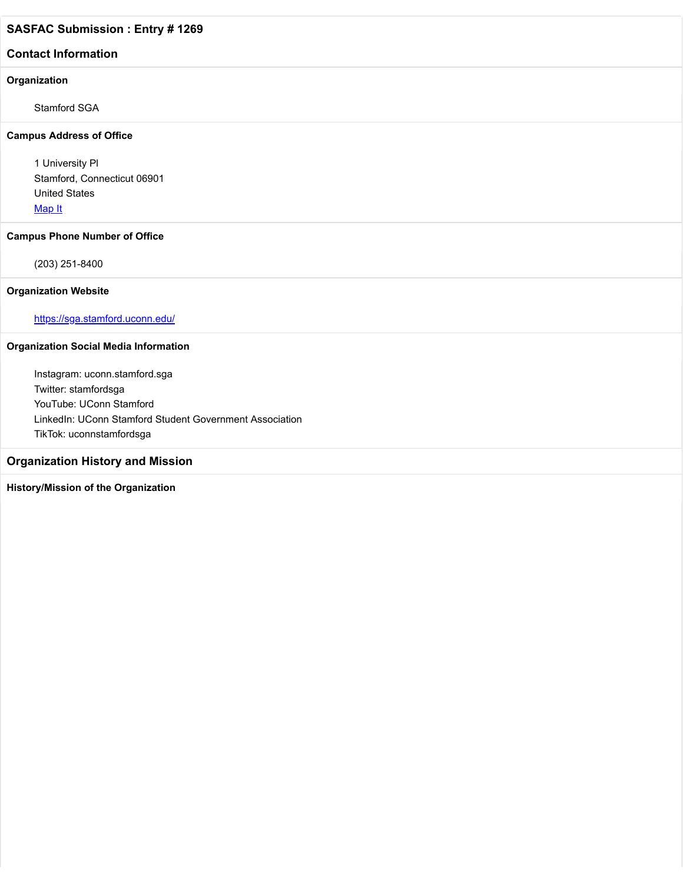## **Contact Information**

## **Organization**

Stamford SGA

#### **Campus Address of Office**

1 University Pl Stamford, Connecticut 06901 United States [Map It](http://maps.google.com/maps?q=1+University+Pl+Stamford%2C+Connecticut+06901+United+States)

#### **Campus Phone Number of Office**

(203) 251-8400

### **Organization Website**

<https://sga.stamford.uconn.edu/>

# **Organization Social Media Information**

Instagram: uconn.stamford.sga Twitter: stamfordsga YouTube: UConn Stamford LinkedIn: UConn Stamford Student Government Association TikTok: uconnstamfordsga

# **Organization History and Mission**

# **History/Mission of the Organization**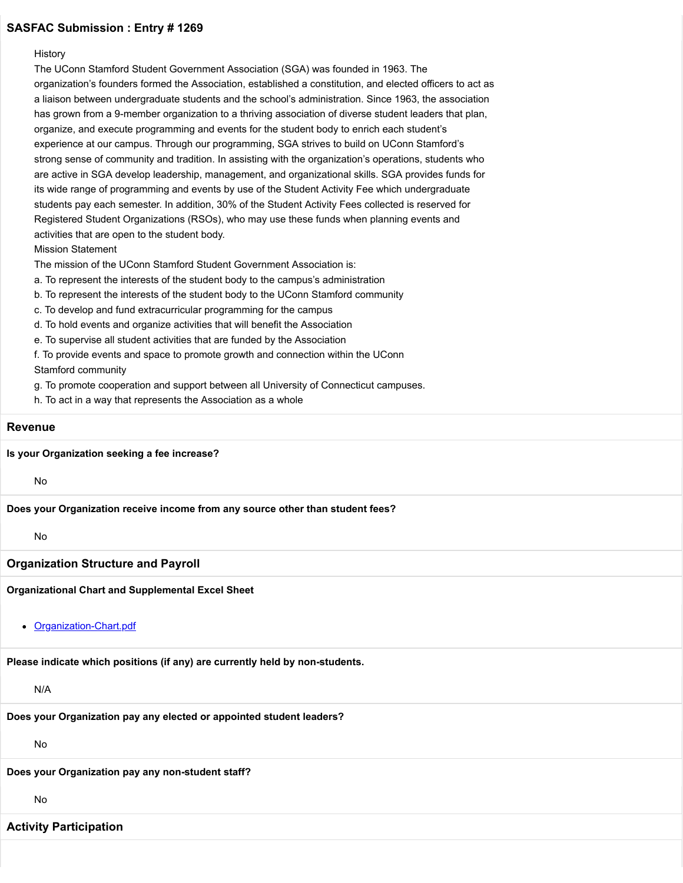#### **History**

The UConn Stamford Student Government Association (SGA) was founded in 1963. The organization's founders formed the Association, established a constitution, and elected officers to act as a liaison between undergraduate students and the school's administration. Since 1963, the association has grown from a 9-member organization to a thriving association of diverse student leaders that plan, organize, and execute programming and events for the student body to enrich each student's experience at our campus. Through our programming, SGA strives to build on UConn Stamford's strong sense of community and tradition. In assisting with the organization's operations, students who are active in SGA develop leadership, management, and organizational skills. SGA provides funds for its wide range of programming and events by use of the Student Activity Fee which undergraduate students pay each semester. In addition, 30% of the Student Activity Fees collected is reserved for Registered Student Organizations (RSOs), who may use these funds when planning events and activities that are open to the student body.

Mission Statement

The mission of the UConn Stamford Student Government Association is:

a. To represent the interests of the student body to the campus's administration

- b. To represent the interests of the student body to the UConn Stamford community
- c. To develop and fund extracurricular programming for the campus
- d. To hold events and organize activities that will benefit the Association
- e. To supervise all student activities that are funded by the Association

f. To provide events and space to promote growth and connection within the UConn Stamford community

g. To promote cooperation and support between all University of Connecticut campuses.

h. To act in a way that represents the Association as a whole

#### **Revenue**

**Is your Organization seeking a fee increase?**

No

**Does your Organization receive income from any source other than student fees?**

#### No

#### **Organization Structure and Payroll**

**Organizational Chart and Supplemental Excel Sheet**

#### • [Organization-Chart.pdf](https://trusteeorgsupport.uconn.edu/index.php?gf-download=2022%2F02%2FOrganization-Chart.pdf&form-id=18&field-id=13&hash=a2a23324957b5d4f75676374cf9a4636d6086afde6f0b4a228a68e7f93168713)

**Please indicate which positions (if any) are currently held by non-students.**

N/A

**Does your Organization pay any elected or appointed student leaders?**

No

**Does your Organization pay any non-student staff?**

No

## **Activity Participation**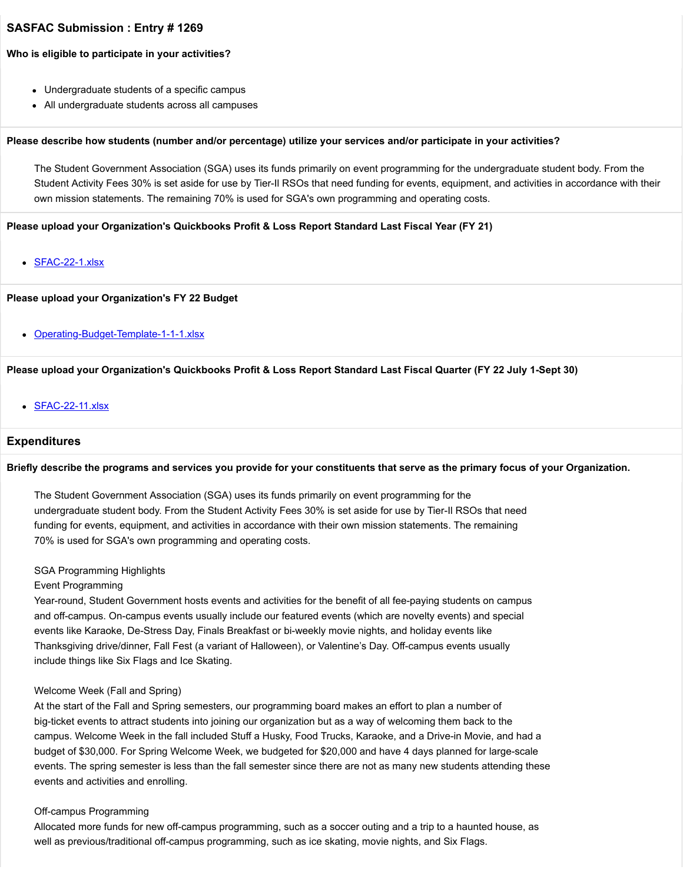#### **Who is eligible to participate in your activities?**

- Undergraduate students of a specific campus
- All undergraduate students across all campuses

#### **Please describe how students (number and/or percentage) utilize your services and/or participate in your activities?**

The Student Government Association (SGA) uses its funds primarily on event programming for the undergraduate student body. From the Student Activity Fees 30% is set aside for use by Tier-Il RSOs that need funding for events, equipment, and activities in accordance with their own mission statements. The remaining 70% is used for SGA's own programming and operating costs.

#### **Please upload your Organization's Quickbooks Profit & Loss Report Standard Last Fiscal Year (FY 21)**

[SFAC-22-1.xlsx](https://trusteeorgsupport.uconn.edu/index.php?gf-download=2022%2F02%2FSFAC-22-1.xlsx&form-id=18&field-id=62&hash=4e5930da5edb8894de7ec44c0a403b45de38445a03b57cb57195d15b31d609a0)

#### **Please upload your Organization's FY 22 Budget**

• [Operating-Budget-Template-1-1-1.xlsx](https://trusteeorgsupport.uconn.edu/index.php?gf-download=2022%2F02%2FOperating-Budget-Template-1-1-1.xlsx&form-id=18&field-id=65&hash=070994b394208e23a6f5d479698ca2d7e38a56467ea7c58cd25d9565bec3d8d3)

#### **Please upload your Organization's Quickbooks Profit & Loss Report Standard Last Fiscal Quarter (FY 22 July 1-Sept 30)**

• [SFAC-22-11.xlsx](https://trusteeorgsupport.uconn.edu/index.php?gf-download=2022%2F02%2FSFAC-22-11.xlsx&form-id=18&field-id=64&hash=df4ea6b0dae0b7937b1c0fc87579420027b350c29a94ef7c567145be61bc7912)

## **Expenditures**

#### **Briefly describe the programs and services you provide for your constituents that serve as the primary focus of your Organization.**

The Student Government Association (SGA) uses its funds primarily on event programming for the undergraduate student body. From the Student Activity Fees 30% is set aside for use by Tier-Il RSOs that need funding for events, equipment, and activities in accordance with their own mission statements. The remaining 70% is used for SGA's own programming and operating costs.

#### SGA Programming Highlights

#### Event Programming

Year-round, Student Government hosts events and activities for the benefit of all fee-paying students on campus and off-campus. On-campus events usually include our featured events (which are novelty events) and special events like Karaoke, De-Stress Day, Finals Breakfast or bi-weekly movie nights, and holiday events like Thanksgiving drive/dinner, Fall Fest (a variant of Halloween), or Valentine's Day. Off-campus events usually include things like Six Flags and Ice Skating.

#### Welcome Week (Fall and Spring)

At the start of the Fall and Spring semesters, our programming board makes an effort to plan a number of big-ticket events to attract students into joining our organization but as a way of welcoming them back to the campus. Welcome Week in the fall included Stuff a Husky, Food Trucks, Karaoke, and a Drive-in Movie, and had a budget of \$30,000. For Spring Welcome Week, we budgeted for \$20,000 and have 4 days planned for large-scale events. The spring semester is less than the fall semester since there are not as many new students attending these events and activities and enrolling.

#### Off-campus Programming

Allocated more funds for new off-campus programming, such as a soccer outing and a trip to a haunted house, as well as previous/traditional off-campus programming, such as ice skating, movie nights, and Six Flags.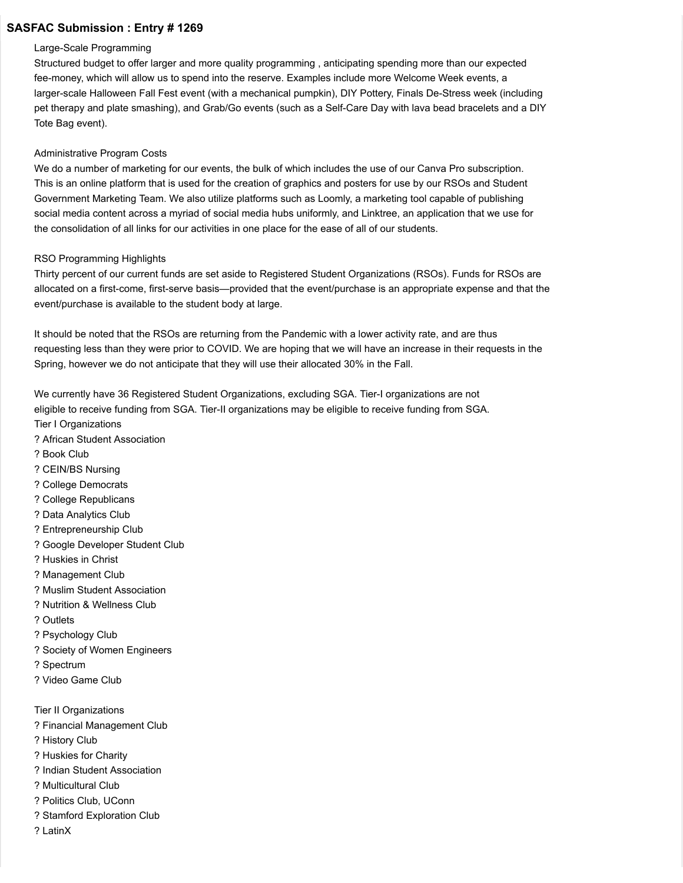#### Large-Scale Programming

Structured budget to offer larger and more quality programming , anticipating spending more than our expected fee-money, which will allow us to spend into the reserve. Examples include more Welcome Week events, a larger-scale Halloween Fall Fest event (with a mechanical pumpkin), DIY Pottery, Finals De-Stress week (including pet therapy and plate smashing), and Grab/Go events (such as a Self-Care Day with lava bead bracelets and a DIY Tote Bag event).

## Administrative Program Costs

We do a number of marketing for our events, the bulk of which includes the use of our Canva Pro subscription. This is an online platform that is used for the creation of graphics and posters for use by our RSOs and Student Government Marketing Team. We also utilize platforms such as Loomly, a marketing tool capable of publishing social media content across a myriad of social media hubs uniformly, and Linktree, an application that we use for the consolidation of all links for our activities in one place for the ease of all of our students.

# RSO Programming Highlights

Thirty percent of our current funds are set aside to Registered Student Organizations (RSOs). Funds for RSOs are allocated on a first-come, first-serve basis—provided that the event/purchase is an appropriate expense and that the event/purchase is available to the student body at large.

It should be noted that the RSOs are returning from the Pandemic with a lower activity rate, and are thus requesting less than they were prior to COVID. We are hoping that we will have an increase in their requests in the Spring, however we do not anticipate that they will use their allocated 30% in the Fall.

We currently have 36 Registered Student Organizations, excluding SGA. Tier-I organizations are not eligible to receive funding from SGA. Tier-II organizations may be eligible to receive funding from SGA.

- Tier I Organizations
- ? African Student Association
- ? Book Club
- ? CEIN/BS Nursing
- ? College Democrats
- ? College Republicans
- ? Data Analytics Club
- ? Entrepreneurship Club
- ? Google Developer Student Club
- ? Huskies in Christ
- ? Management Club
- ? Muslim Student Association
- ? Nutrition & Wellness Club
- ? Outlets
- ? Psychology Club
- ? Society of Women Engineers
- ? Spectrum
- ? Video Game Club
- Tier II Organizations
- ? Financial Management Club
- ? History Club
- ? Huskies for Charity
- ? Indian Student Association
- ? Multicultural Club
- ? Politics Club, UConn
- ? Stamford Exploration Club
- ? LatinX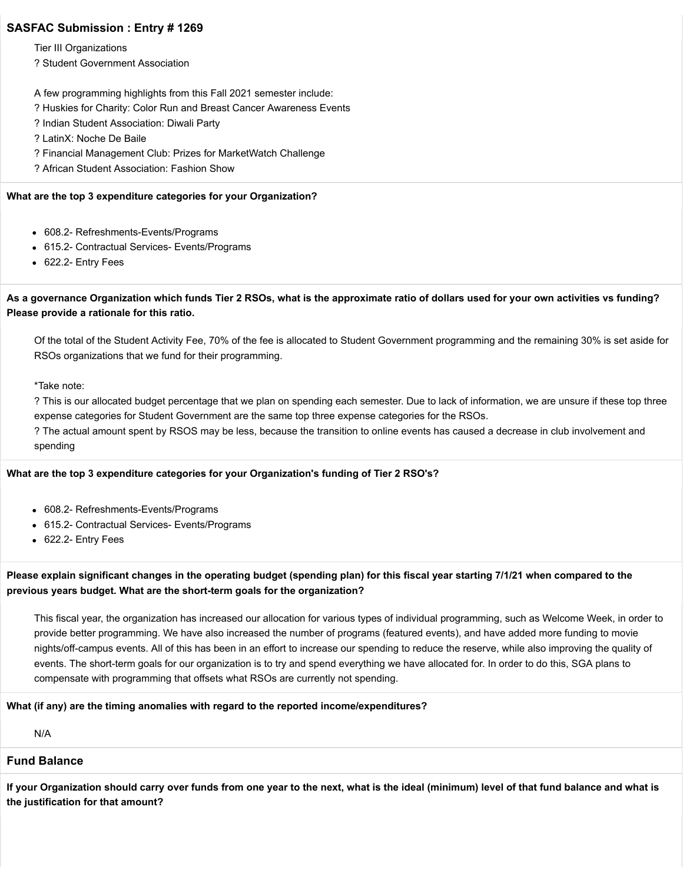Tier III Organizations

? Student Government Association

A few programming highlights from this Fall 2021 semester include:

- ? Huskies for Charity: Color Run and Breast Cancer Awareness Events
- ? Indian Student Association: Diwali Party
- ? LatinX: Noche De Baile
- ? Financial Management Club: Prizes for MarketWatch Challenge
- ? African Student Association: Fashion Show

### **What are the top 3 expenditure categories for your Organization?**

- 608.2- Refreshments-Events/Programs
- 615.2- Contractual Services- Events/Programs
- 622.2- Entry Fees

# **As a governance Organization which funds Tier 2 RSOs, what is the approximate ratio of dollars used for your own activities vs funding? Please provide a rationale for this ratio.**

Of the total of the Student Activity Fee, 70% of the fee is allocated to Student Government programming and the remaining 30% is set aside for RSOs organizations that we fund for their programming.

\*Take note:

? This is our allocated budget percentage that we plan on spending each semester. Due to lack of information, we are unsure if these top three expense categories for Student Government are the same top three expense categories for the RSOs.

? The actual amount spent by RSOS may be less, because the transition to online events has caused a decrease in club involvement and spending

## **What are the top 3 expenditure categories for your Organization's funding of Tier 2 RSO's?**

- 608.2- Refreshments-Events/Programs
- 615.2- Contractual Services- Events/Programs
- 622.2- Entry Fees

# **Please explain significant changes in the operating budget (spending plan) for this fiscal year starting 7/1/21 when compared to the previous years budget. What are the short-term goals for the organization?**

This fiscal year, the organization has increased our allocation for various types of individual programming, such as Welcome Week, in order to provide better programming. We have also increased the number of programs (featured events), and have added more funding to movie nights/off-campus events. All of this has been in an effort to increase our spending to reduce the reserve, while also improving the quality of events. The short-term goals for our organization is to try and spend everything we have allocated for. In order to do this, SGA plans to compensate with programming that offsets what RSOs are currently not spending.

## **What (if any) are the timing anomalies with regard to the reported income/expenditures?**

N/A

## **Fund Balance**

**If your Organization should carry over funds from one year to the next, what is the ideal (minimum) level of that fund balance and what is the justification for that amount?**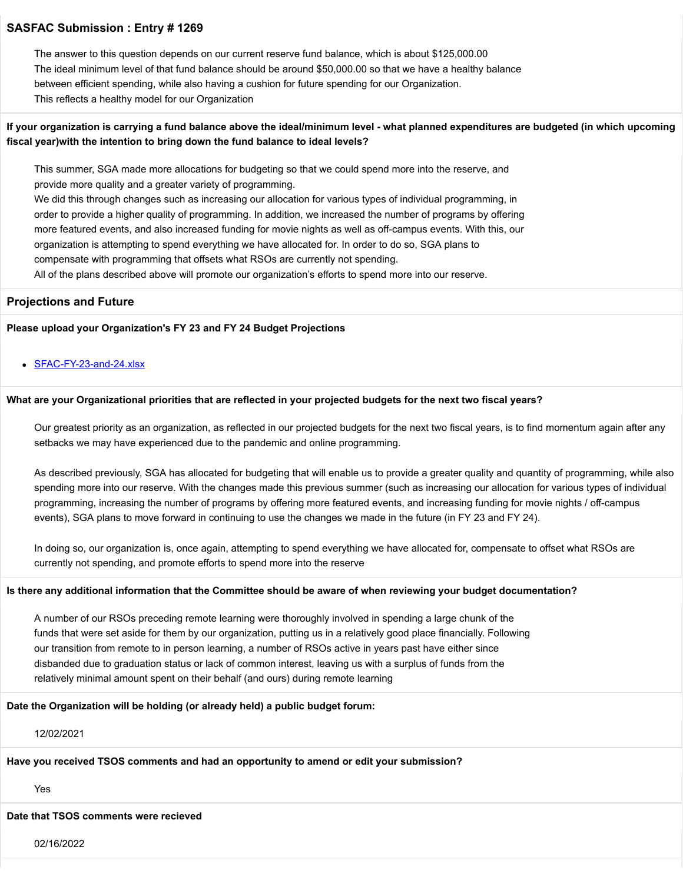The answer to this question depends on our current reserve fund balance, which is about \$125,000.00 The ideal minimum level of that fund balance should be around \$50,000.00 so that we have a healthy balance between efficient spending, while also having a cushion for future spending for our Organization. This reflects a healthy model for our Organization

# **If your organization is carrying a fund balance above the ideal/minimum level - what planned expenditures are budgeted (in which upcoming fiscal year)with the intention to bring down the fund balance to ideal levels?**

This summer, SGA made more allocations for budgeting so that we could spend more into the reserve, and provide more quality and a greater variety of programming. We did this through changes such as increasing our allocation for various types of individual programming, in order to provide a higher quality of programming. In addition, we increased the number of programs by offering more featured events, and also increased funding for movie nights as well as off-campus events. With this, our organization is attempting to spend everything we have allocated for. In order to do so, SGA plans to compensate with programming that offsets what RSOs are currently not spending. All of the plans described above will promote our organization's efforts to spend more into our reserve.

#### **Projections and Future**

**Please upload your Organization's FY 23 and FY 24 Budget Projections**

#### [SFAC-FY-23-and-24.xlsx](https://trusteeorgsupport.uconn.edu/index.php?gf-download=2022%2F02%2FSFAC-FY-23-and-24.xlsx&form-id=18&field-id=63&hash=9fba008dfc61d819d9e073bbe4c308640df39542f00157470e1dd3225fbab09a)

#### **What are your Organizational priorities that are reflected in your projected budgets for the next two fiscal years?**

Our greatest priority as an organization, as reflected in our projected budgets for the next two fiscal years, is to find momentum again after any setbacks we may have experienced due to the pandemic and online programming.

As described previously, SGA has allocated for budgeting that will enable us to provide a greater quality and quantity of programming, while also spending more into our reserve. With the changes made this previous summer (such as increasing our allocation for various types of individual programming, increasing the number of programs by offering more featured events, and increasing funding for movie nights / off-campus events), SGA plans to move forward in continuing to use the changes we made in the future (in FY 23 and FY 24).

In doing so, our organization is, once again, attempting to spend everything we have allocated for, compensate to offset what RSOs are currently not spending, and promote efforts to spend more into the reserve

#### **Is there any additional information that the Committee should be aware of when reviewing your budget documentation?**

A number of our RSOs preceding remote learning were thoroughly involved in spending a large chunk of the funds that were set aside for them by our organization, putting us in a relatively good place financially. Following our transition from remote to in person learning, a number of RSOs active in years past have either since disbanded due to graduation status or lack of common interest, leaving us with a surplus of funds from the relatively minimal amount spent on their behalf (and ours) during remote learning

**Date the Organization will be holding (or already held) a public budget forum:**

## 12/02/2021

**Have you received TSOS comments and had an opportunity to amend or edit your submission?**

Yes

#### **Date that TSOS comments were recieved**

02/16/2022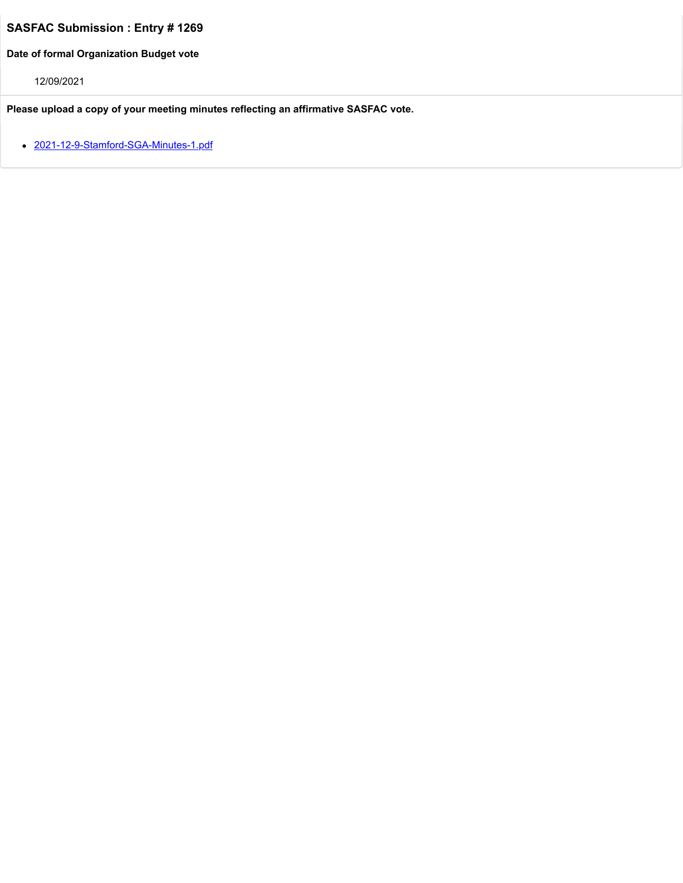**Date of formal Organization Budget vote**

12/09/2021

**Please upload a copy of your meeting minutes reflecting an affirmative SASFAC vote.**

• [2021-12-9-Stamford-SGA-Minutes-1.pdf](https://trusteeorgsupport.uconn.edu/index.php?gf-download=2022%2F02%2F2021-12-9-Stamford-SGA-Minutes-1.pdf&form-id=18&field-id=57&hash=2a35a54c9bbcd545bfd53063d3caf2e3038f754bfc68e0d252f710eb6c19efc9)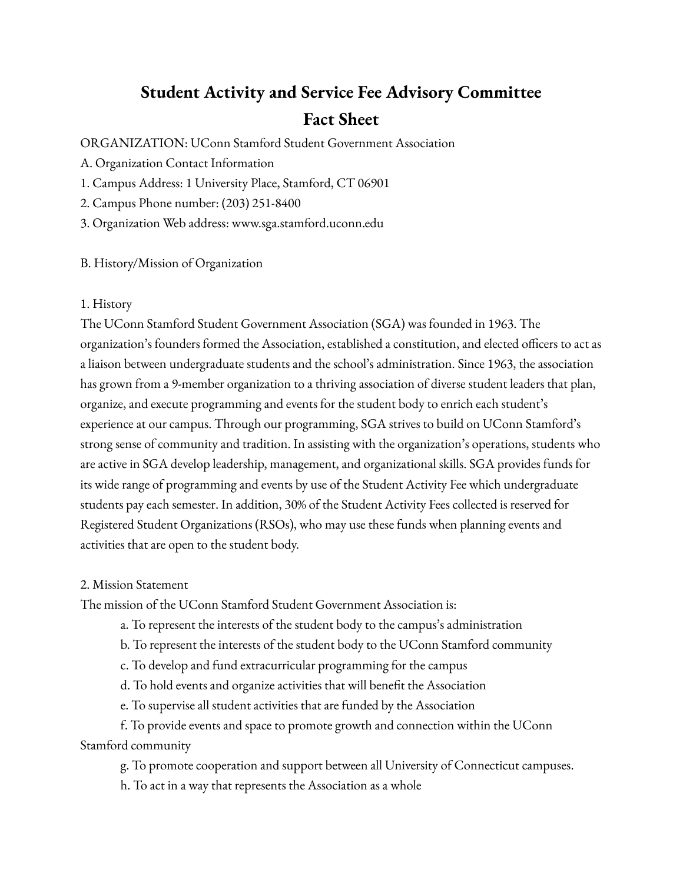# **Student Activity and Service Fee Advisory Committee Fact Sheet**

ORGANIZATION: UConn Stamford Student Government Association

A. Organization Contact Information

1. Campus Address: 1 University Place, Stamford, CT 06901

2. Campus Phone number: (203) 251-8400

3. Organization Web address: www.sga.stamford.uconn.edu

# B. History/Mission of Organization

# 1. History

The UConn Stamford Student Government Association (SGA) was founded in 1963. The organization's founders formed the Association, established a constitution, and elected officers to act as a liaison between undergraduate students and the school's administration. Since 1963, the association has grown from a 9-member organization to a thriving association of diverse student leaders that plan, organize, and execute programming and events for the student body to enrich each student's experience at our campus. Through our programming, SGA strives to build on UConn Stamford's strong sense of community and tradition. In assisting with the organization's operations, students who are active in SGA develop leadership, management, and organizational skills. SGA provides funds for its wide range of programming and events by use of the Student Activity Fee which undergraduate students pay each semester. In addition, 30% of the Student Activity Fees collected is reserved for Registered Student Organizations (RSOs), who may use these funds when planning events and activities that are open to the student body.

# 2. Mission Statement

The mission of the UConn Stamford Student Government Association is:

- a. To represent the interests of the student body to the campus's administration
- b. To represent the interests of the student body to the UConn Stamford community
- c. To develop and fund extracurricular programming for the campus
- d. To hold events and organize activities that will benefit the Association
- e. To supervise all student activities that are funded by the Association

f. To provide events and space to promote growth and connection within the UConn Stamford community

g. To promote cooperation and support between all University of Connecticut campuses.

h. To act in a way that represents the Association as a whole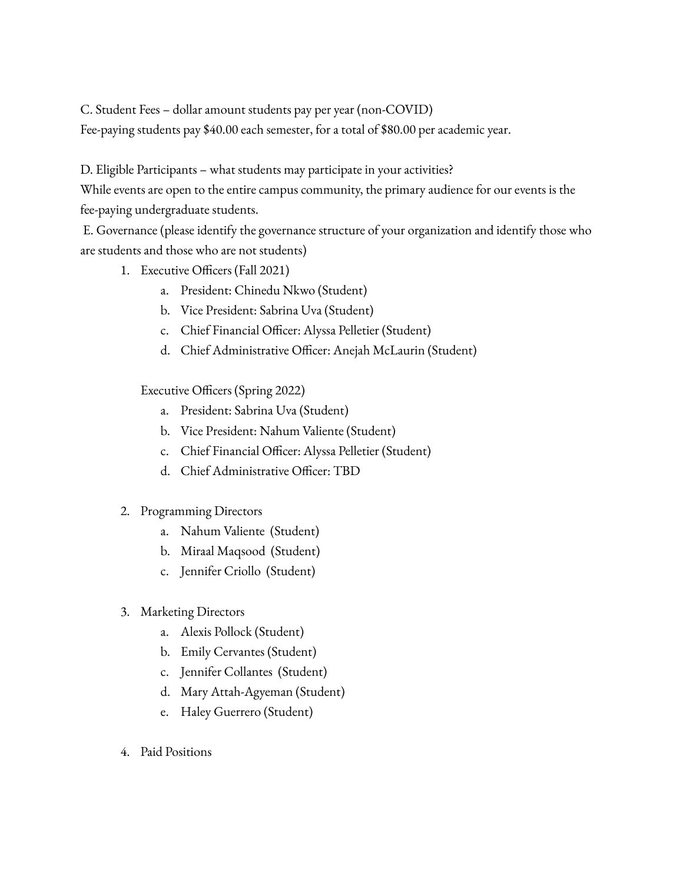C. Student Fees – dollar amount students pay per year (non-COVID)

Fee-paying students pay \$40.00 each semester, for a total of \$80.00 per academic year.

D. Eligible Participants – what students may participate in your activities?

While events are open to the entire campus community, the primary audience for our events is the fee-paying undergraduate students.

E. Governance (please identify the governance structure of your organization and identify those who are students and those who are not students)

- 1. Executive Officers (Fall 2021)
	- a. President: Chinedu Nkwo (Student)
	- b. Vice President: Sabrina Uva (Student)
	- c. Chief Financial Officer: Alyssa Pelletier (Student)
	- d. Chief Administrative Officer: Anejah McLaurin (Student)

Executive Officers (Spring 2022)

- a. President: Sabrina Uva (Student)
- b. Vice President: Nahum Valiente (Student)
- c. Chief Financial Officer: Alyssa Pelletier (Student)
- d. Chief Administrative Officer: TBD
- 2. Programming Directors
	- a. Nahum Valiente (Student)
	- b. Miraal Maqsood (Student)
	- c. Jennifer Criollo (Student)
- 3. Marketing Directors
	- a. Alexis Pollock (Student)
	- b. Emily Cervantes (Student)
	- c. Jennifer Collantes (Student)
	- d. Mary Attah-Agyeman (Student)
	- e. Haley Guerrero (Student)
- 4. Paid Positions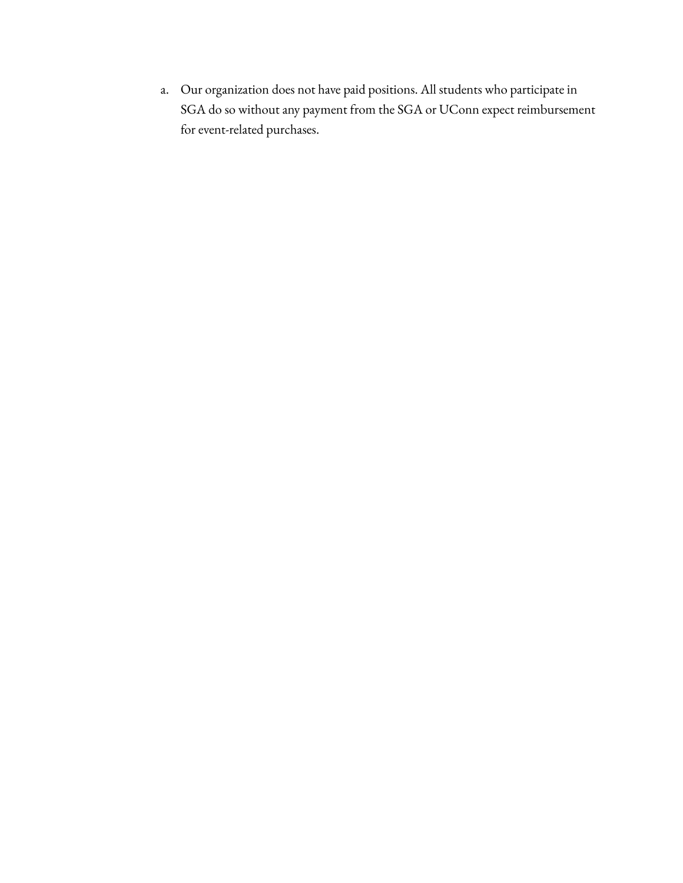a. Our organization does not have paid positions. All students who participate in SGA do so without any payment from the SGA or UConn expect reimbursement for event-related purchases.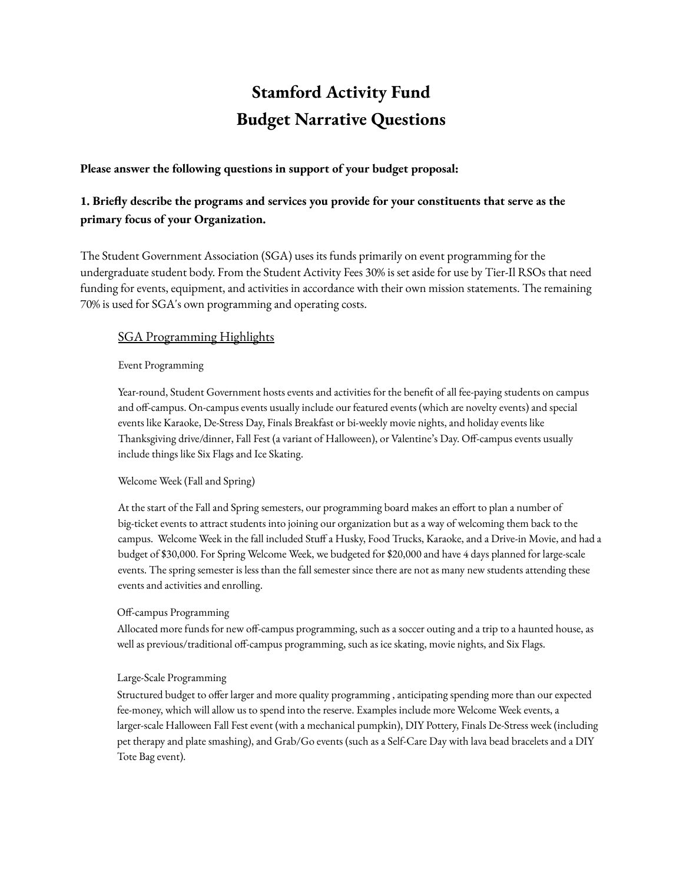# **Stamford Activity Fund Budget Narrative Questions**

# **Please answer the following questions in support of your budget proposal:**

# **1. Briefly describe the programs and services you provide for your constituents that serve as the primary focus of your Organization.**

The Student Government Association (SGA) uses its funds primarily on event programming for the undergraduate student body. From the Student Activity Fees 30% is set aside for use by Tier-Il RSOs that need funding for events, equipment, and activities in accordance with their own mission statements. The remaining 70% is used for SGA's own programming and operating costs.

# **SGA Programming Highlights**

# Event Programming

Year-round, Student Government hosts events and activities for the benefit of all fee-paying students on campus and off-campus. On-campus events usually include our featured events (which are novelty events) and special events like Karaoke, De-Stress Day, Finals Breakfast or bi-weekly movie nights, and holiday events like Thanksgiving drive/dinner, Fall Fest (a variant of Halloween), or Valentine's Day. Off-campus events usually include things like Six Flags and Ice Skating.

# Welcome Week (Fall and Spring)

At the start of the Fall and Spring semesters, our programming board makes an effort to plan a number of big-ticket events to attract students into joining our organization but as a way of welcoming them back to the campus. Welcome Week in the fall included Stuff a Husky, Food Trucks, Karaoke, and a Drive-in Movie, and had a budget of \$30,000. For Spring Welcome Week, we budgeted for \$20,000 and have 4 days planned for large-scale events. The spring semester is less than the fall semester since there are not as many new students attending these events and activities and enrolling.

## Off-campus Programming

Allocated more funds for new off-campus programming, such as a soccer outing and a trip to a haunted house, as well as previous/traditional off-campus programming, such as ice skating, movie nights, and Six Flags.

# Large-Scale Programming

Structured budget to offer larger and more quality programming , anticipating spending more than our expected fee-money, which will allow us to spend into the reserve. Examples include more Welcome Week events, a larger-scale Halloween Fall Fest event (with a mechanical pumpkin), DIY Pottery, Finals De-Stress week (including pet therapy and plate smashing), and Grab/Go events (such as a Self-Care Day with lava bead bracelets and a DIY Tote Bag event).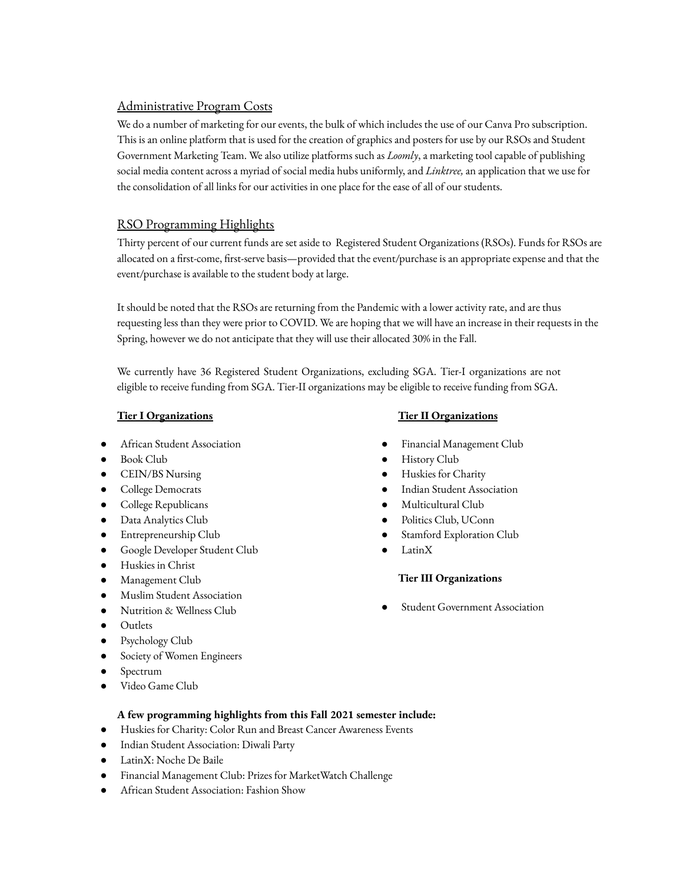# Administrative Program Costs

We do a number of marketing for our events, the bulk of which includes the use of our Canva Pro subscription. This is an online platform that is used for the creation of graphics and posters for use by our RSOs and Student Government Marketing Team. We also utilize platforms such as *Loomly*, a marketing tool capable of publishing social media content across a myriad of social media hubs uniformly, and *Linktree,* an application that we use for the consolidation of all links for our activities in one place for the ease of all of our students.

# RSO Programming Highlights

Thirty percent of our current funds are set aside to Registered Student Organizations (RSOs). Funds for RSOs are allocated on a first-come, first-serve basis—provided that the event/purchase is an appropriate expense and that the event/purchase is available to the student body at large.

It should be noted that the RSOs are returning from the Pandemic with a lower activity rate, and are thus requesting less than they were prior to COVID. We are hoping that we will have an increase in their requests in the Spring, however we do not anticipate that they will use their allocated 30% in the Fall.

We currently have 36 Registered Student Organizations, excluding SGA. Tier-I organizations are not eligible to receive funding from SGA. Tier-II organizations may be eligible to receive funding from SGA.

# **Tier I Organizations**

- African Student Association
- Book Club
- CEIN/BS Nursing
- College Democrats
- College Republicans
- Data Analytics Club
- Entrepreneurship Club
- Google Developer Student Club
- **Huskies in Christ**
- Management Club
- **Muslim Student Association**
- Nutrition & Wellness Club
- Outlets
- Psychology Club
- Society of Women Engineers
- Spectrum
- Video Game Club

# **A few programming highlights from this Fall 2021 semester include:**

- Huskies for Charity: Color Run and Breast Cancer Awareness Events
- Indian Student Association: Diwali Party
- LatinX: Noche De Baile
- Financial Management Club: Prizes for MarketWatch Challenge
- African Student Association: Fashion Show

# **Tier II Organizations**

- Financial Management Club
- **History Club**
- Huskies for Charity
- **Indian Student Association**
- Multicultural Club
- Politics Club, UConn
- Stamford Exploration Club
- LatinX

# **Tier III Organizations**

**Student Government Association**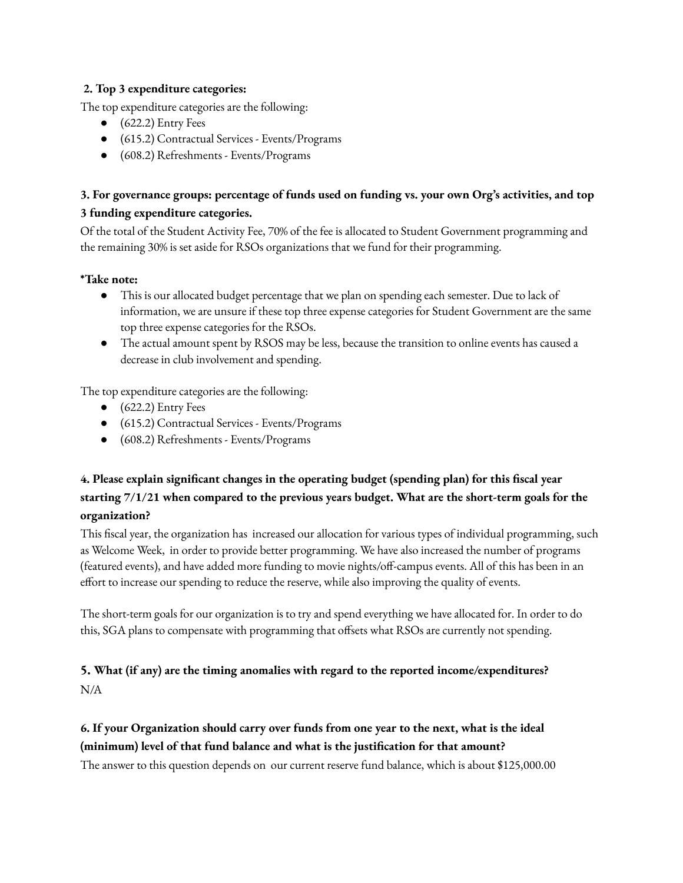# **2. Top 3 expenditure categories:**

The top expenditure categories are the following:

- $\bullet$  (622.2) Entry Fees
- (615.2) Contractual Services Events/Programs
- (608.2) Refreshments Events/Programs

# **3. For governance groups: percentage of funds used on funding vs. your own Org's activities, and top 3 funding expenditure categories.**

Of the total of the Student Activity Fee, 70% of the fee is allocated to Student Government programming and the remaining 30% is set aside for RSOs organizations that we fund for their programming.

# **\*Take note:**

- This is our allocated budget percentage that we plan on spending each semester. Due to lack of information, we are unsure if these top three expense categories for Student Government are the same top three expense categories for the RSOs.
- The actual amount spent by RSOS may be less, because the transition to online events has caused a decrease in club involvement and spending.

The top expenditure categories are the following:

- $\bullet$  (622.2) Entry Fees
- (615.2) Contractual Services Events/Programs
- (608.2) Refreshments Events/Programs

# **4. Please explain significant changes in the operating budget (spending plan) for this fiscal year starting 7/1/21 when compared to the previous years budget. What are the short-term goals for the organization?**

This fiscal year, the organization has increased our allocation for various types of individual programming, such as Welcome Week, in order to provide better programming. We have also increased the number of programs (featured events), and have added more funding to movie nights/off-campus events. All of this has been in an effort to increase our spending to reduce the reserve, while also improving the quality of events.

The short-term goals for our organization is to try and spend everything we have allocated for. In order to do this, SGA plans to compensate with programming that offsets what RSOs are currently not spending.

# **5. What (if any) are the timing anomalies with regard to the reported income/expenditures?** N/A

# **6. If your Organization should carry over funds from one year to the next, what is the ideal (minimum) level of that fund balance and what is the justification for that amount?**

The answer to this question depends on our current reserve fund balance, which is about \$125,000.00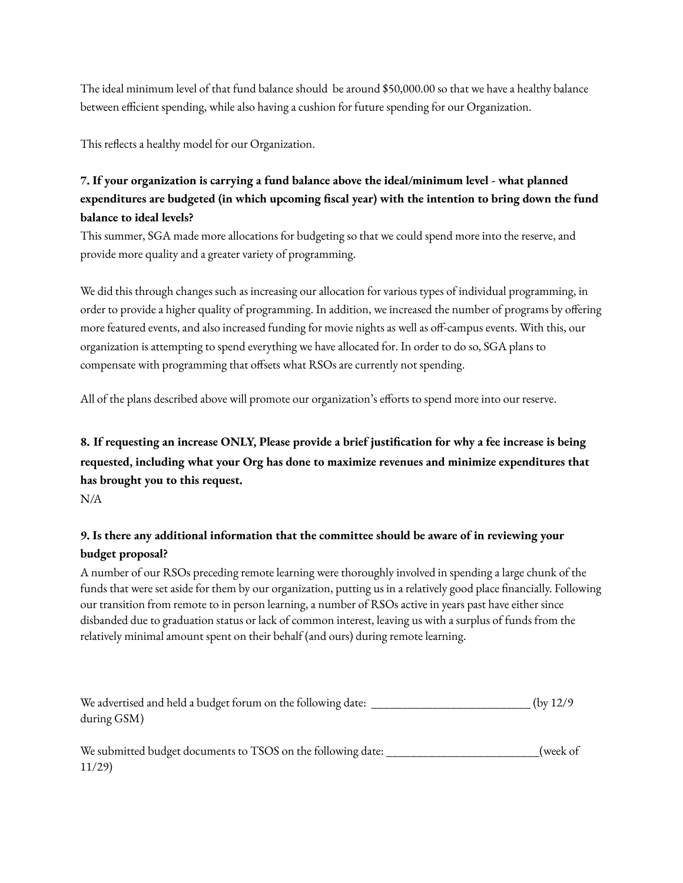The ideal minimum level of that fund balance should be around \$50,000.00 so that we have a healthy balance between efficient spending, while also having a cushion for future spending for our Organization.

This reflects a healthy model for our Organization.

# **7. If your organization is carrying a fund balance above the ideal/minimum level - what planned expenditures are budgeted (in which upcoming fiscal year) with the intention to bring down the fund balance to ideal levels?**

This summer, SGA made more allocations for budgeting so that we could spend more into the reserve, and provide more quality and a greater variety of programming.

We did this through changes such as increasing our allocation for various types of individual programming, in order to provide a higher quality of programming. In addition, we increased the number of programs by offering more featured events, and also increased funding for movie nights as well as off-campus events. With this, our organization is attempting to spend everything we have allocated for. In order to do so, SGA plans to compensate with programming that offsets what RSOs are currently not spending.

All of the plans described above will promote our organization's efforts to spend more into our reserve.

# 8. If requesting an increase ONLY, Please provide a brief justification for why a fee increase is being **requested, including what your Org has done to maximize revenues and minimize expenditures that has brought you to this request.**

N/A

# **9. Is there any additional information that the committee should be aware of in reviewing your budget proposal?**

A number of our RSOs preceding remote learning were thoroughly involved in spending a large chunk of the funds that were set aside for them by our organization, putting us in a relatively good place financially. Following our transition from remote to in person learning, a number of RSOs active in years past have either since disbanded due to graduation status or lack of common interest, leaving us with a surplus of funds from the relatively minimal amount spent on their behalf (and ours) during remote learning.

We advertised and held a budget forum on the following date: \_\_\_\_\_\_\_\_\_\_\_\_\_\_\_\_\_\_\_\_\_\_\_\_\_\_ (by 12/9 during GSM)

We submitted budget documents to TSOS on the following date: \_\_\_\_\_\_\_\_\_\_\_\_\_\_\_\_\_\_\_\_\_\_\_(week of 11/29)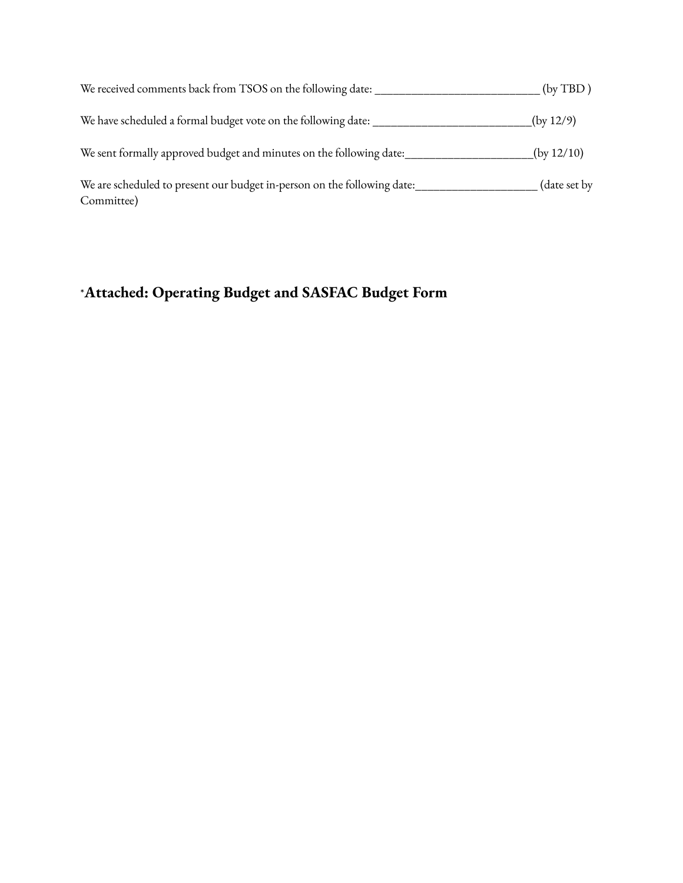| We received comments back from TSOS on the following date:                            | (by TBD)     |
|---------------------------------------------------------------------------------------|--------------|
| We have scheduled a formal budget vote on the following date:                         | (by 12/9)    |
| We sent formally approved budget and minutes on the following date:                   | (by 12/10)   |
| We are scheduled to present our budget in-person on the following date:<br>Committee) | (date set by |

# \***Attached: Operating Budget and SASFAC Budget Form**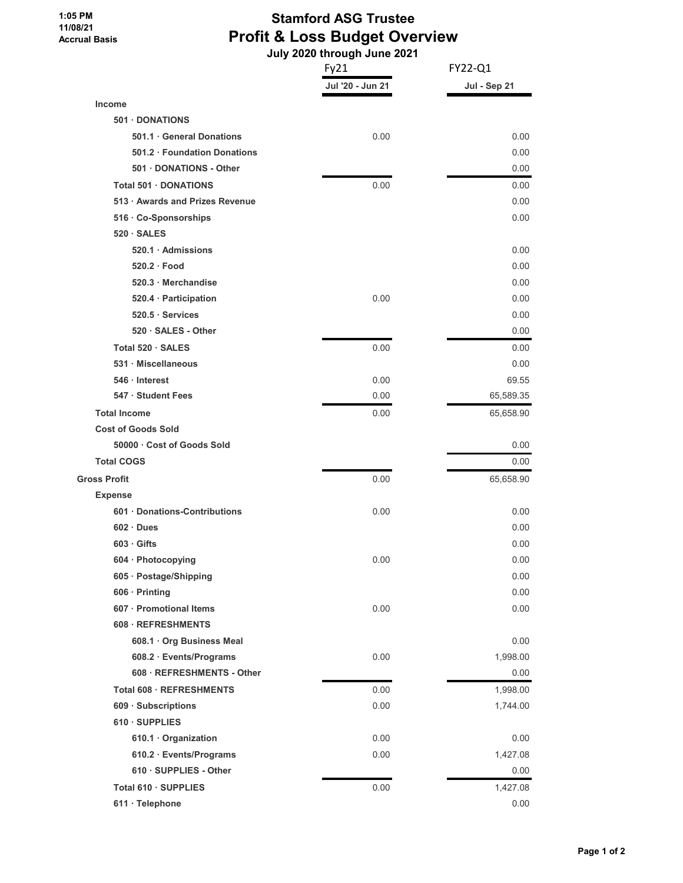#### **1:05 PM 11/08/21 Accrual Basis**

# **Stamford ASG Trustee Profit & Loss Budget Overview**

 **July 2020 through June 2021**

|                                 | Fy21             | FY22-Q1      |  |
|---------------------------------|------------------|--------------|--|
|                                 | Jul '20 - Jun 21 | Jul - Sep 21 |  |
| <b>Income</b>                   |                  |              |  |
| 501 DONATIONS                   |                  |              |  |
| 501.1 General Donations         | 0.00             | 0.00         |  |
| 501.2 · Foundation Donations    |                  | 0.00         |  |
| 501 DONATIONS - Other           |                  | 0.00         |  |
| Total 501 · DONATIONS           | 0.00             | 0.00         |  |
| 513 · Awards and Prizes Revenue |                  | 0.00         |  |
| 516 · Co-Sponsorships           |                  | 0.00         |  |
| $520 \cdot SALES$               |                  |              |  |
| 520.1 Admissions                |                  | 0.00         |  |
| 520.2 Food                      |                  | 0.00         |  |
| 520.3 Merchandise               |                  | 0.00         |  |
| 520.4 · Participation           | 0.00             | 0.00         |  |
| 520.5 · Services                |                  | 0.00         |  |
| 520 · SALES - Other             |                  | 0.00         |  |
| Total 520 · SALES               | 0.00             | 0.00         |  |
| 531 · Miscellaneous             |                  | 0.00         |  |
| 546 · Interest                  | 0.00             | 69.55        |  |
| 547 · Student Fees              | 0.00             | 65,589.35    |  |
| <b>Total Income</b>             | 0.00             | 65,658.90    |  |
| <b>Cost of Goods Sold</b>       |                  |              |  |
| 50000 Cost of Goods Sold        |                  | 0.00         |  |
| <b>Total COGS</b>               |                  | 0.00         |  |
| <b>Gross Profit</b>             | 0.00             | 65,658.90    |  |
| <b>Expense</b>                  |                  |              |  |
| 601 · Donations-Contributions   | 0.00             | 0.00         |  |
| $602 \cdot Dues$                |                  | 0.00         |  |
| $603 \cdot$ Gifts               |                  | 0.00         |  |
| 604 · Photocopying              | 0.00             | 0.00         |  |
| 605 · Postage/Shipping          |                  | 0.00         |  |
| 606 · Printing                  |                  | 0.00         |  |
| 607 · Promotional Items         | 0.00             | 0.00         |  |
| 608 · REFRESHMENTS              |                  |              |  |
| 608.1 · Org Business Meal       |                  | 0.00         |  |
| 608.2 · Events/Programs         | 0.00             | 1,998.00     |  |
| 608 · REFRESHMENTS - Other      |                  | 0.00         |  |
| Total 608 · REFRESHMENTS        | 0.00             | 1,998.00     |  |
| 609 · Subscriptions             | 0.00             | 1,744.00     |  |
| 610 · SUPPLIES                  |                  |              |  |
| 610.1 · Organization            | 0.00             | 0.00         |  |
| 610.2 · Events/Programs         | 0.00             | 1,427.08     |  |
| 610 · SUPPLIES - Other          |                  | 0.00         |  |
| Total 610 · SUPPLIES            | 0.00             | 1,427.08     |  |
| 611 · Telephone                 |                  | 0.00         |  |
|                                 |                  |              |  |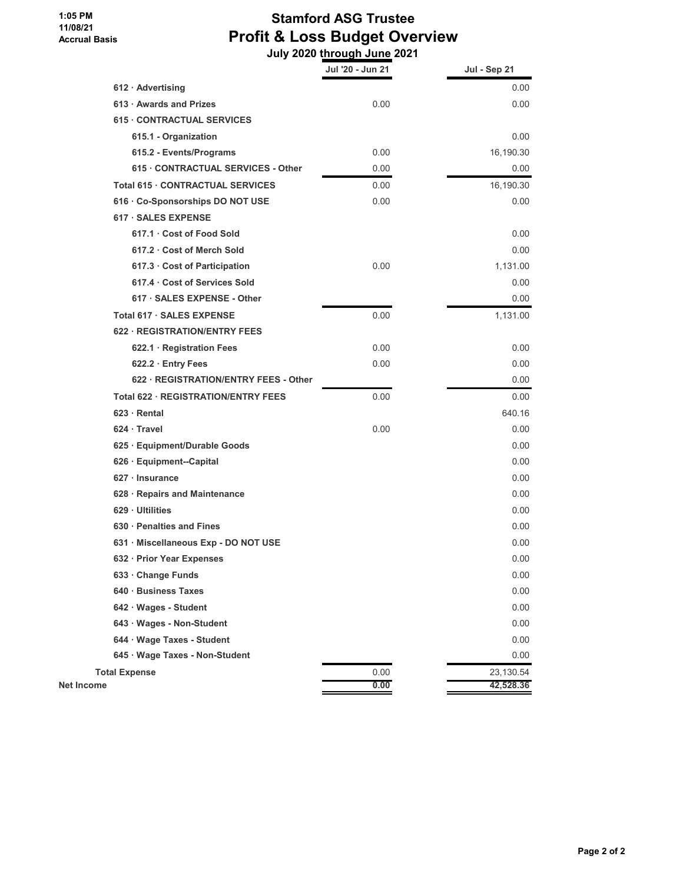#### **1:05 PM 11/08/21 Accrual Basis**

# **Stamford ASG Trustee Profit & Loss Budget Overview**

|                                       | July 2020 through June 2021 |              |  |
|---------------------------------------|-----------------------------|--------------|--|
|                                       | Jul '20 - Jun 21            | Jul - Sep 21 |  |
| $612 \cdot$ Advertising               |                             | 0.00         |  |
| 613 · Awards and Prizes               | 0.00                        | 0.00         |  |
| 615 CONTRACTUAL SERVICES              |                             |              |  |
| 615.1 - Organization                  |                             | 0.00         |  |
| 615.2 - Events/Programs               | 0.00                        | 16,190.30    |  |
| 615 · CONTRACTUAL SERVICES - Other    | 0.00                        | 0.00         |  |
| Total 615 · CONTRACTUAL SERVICES      | 0.00                        | 16,190.30    |  |
| 616 · Co-Sponsorships DO NOT USE      | 0.00                        | 0.00         |  |
| 617 · SALES EXPENSE                   |                             |              |  |
| 617.1 Cost of Food Sold               |                             | 0.00         |  |
| 617.2 Cost of Merch Sold              |                             | 0.00         |  |
| 617.3 Cost of Participation           | 0.00                        | 1,131.00     |  |
| 617.4 Cost of Services Sold           |                             | 0.00         |  |
| 617 · SALES EXPENSE - Other           |                             | 0.00         |  |
| Total 617 · SALES EXPENSE             | 0.00                        | 1,131.00     |  |
| 622 · REGISTRATION/ENTRY FEES         |                             |              |  |
| 622.1 · Registration Fees             | 0.00                        | 0.00         |  |
| 622.2 Entry Fees                      | 0.00                        | 0.00         |  |
| 622 · REGISTRATION/ENTRY FEES - Other |                             | 0.00         |  |
| Total 622 · REGISTRATION/ENTRY FEES   | 0.00                        | 0.00         |  |
| $623 \cdot$ Rental                    |                             | 640.16       |  |
| $624 \cdot$ Travel                    | 0.00                        | 0.00         |  |
| 625 · Equipment/Durable Goods         |                             | 0.00         |  |
| 626 · Equipment--Capital              |                             | 0.00         |  |
| 627 · Insurance                       |                             | 0.00         |  |
| 628 · Repairs and Maintenance         |                             | 0.00         |  |
| 629 · Ultilities                      |                             | 0.00         |  |
| 630 · Penalties and Fines             |                             | 0.00         |  |
| 631 · Miscellaneous Exp - DO NOT USE  |                             | 0.00         |  |
| 632 · Prior Year Expenses             |                             | 0.00         |  |
| 633 Change Funds                      |                             | 0.00         |  |
| 640 · Business Taxes                  |                             | 0.00         |  |
| 642 · Wages - Student                 |                             | 0.00         |  |
| 643 · Wages - Non-Student             |                             | 0.00         |  |
| 644 · Wage Taxes - Student            |                             | 0.00         |  |
| 645 · Wage Taxes - Non-Student        |                             | 0.00         |  |
| <b>Total Expense</b>                  | 0.00                        | 23,130.54    |  |
| <b>Net Income</b>                     | 0.00                        | 42,528.36    |  |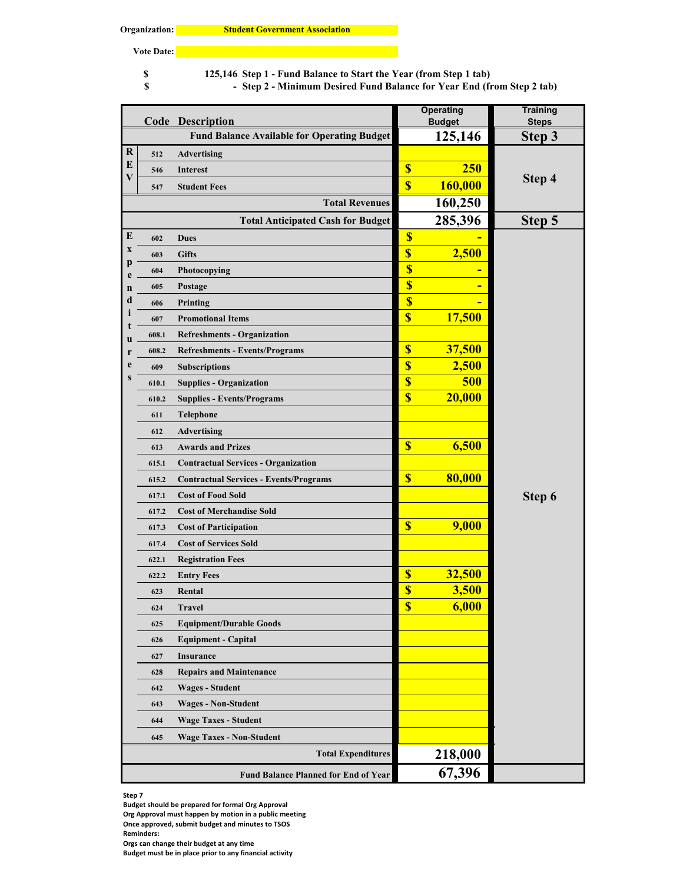**Vote Date:**

**8** 125,146 Step 1 - Fund Balance to Start the Year (from Step 1 tab)

**Step 2 - Minimum Desired Fund Balance for Year End (from Step 2 tab) \$ -** 

|                  |       | <b>Code Description</b>                            | <b>Operating</b><br><b>Budget</b> |            | <b>Training</b><br><b>Steps</b> |
|------------------|-------|----------------------------------------------------|-----------------------------------|------------|---------------------------------|
|                  |       | <b>Fund Balance Available for Operating Budget</b> |                                   | 125,146    | Step 3                          |
| $\bf R$          | 512   | <b>Advertising</b>                                 |                                   |            |                                 |
| E                | 546   | <b>Interest</b>                                    | $\overline{\mathbb{S}}$           | <b>250</b> |                                 |
| V                | 547   | <b>Student Fees</b>                                | $\overline{\mathbb{S}}$           | 160,000    | Step 4                          |
|                  |       | <b>Total Revenues</b>                              |                                   | 160,250    |                                 |
|                  |       | <b>Total Anticipated Cash for Budget</b>           |                                   | 285,396    | Step 5                          |
| E                | 602   | <b>Dues</b>                                        | $\overline{\mathbb{S}}$           |            |                                 |
| X                | 603   | <b>Gifts</b>                                       | $\overline{\mathbf{S}}$           | 2,500      |                                 |
| p                | 604   | Photocopying                                       | $\overline{\mathbb{S}}$           |            |                                 |
| e<br>$\mathbf n$ | 605   | Postage                                            | $\overline{\mathbb{S}}$           |            |                                 |
| d                | 606   | Printing                                           | $\overline{\mathbf{S}}$           |            |                                 |
| ı                | 607   | <b>Promotional Items</b>                           | $\overline{\mathbf{S}}$           | 17,500     |                                 |
| t                | 608.1 | <b>Refreshments - Organization</b>                 |                                   |            |                                 |
| u<br>r           | 608.2 | <b>Refreshments - Events/Programs</b>              | $\overline{\mathbf{S}}$           | 37,500     |                                 |
| e                | 609   | <b>Subscriptions</b>                               | \$                                | 2,500      |                                 |
| S                | 610.1 | <b>Supplies - Organization</b>                     | \$                                | 500        |                                 |
|                  | 610.2 | <b>Supplies - Events/Programs</b>                  | \$                                | 20,000     |                                 |
|                  | 611   | Telephone                                          |                                   |            |                                 |
|                  | 612   | <b>Advertising</b>                                 |                                   |            |                                 |
|                  | 613   | <b>Awards and Prizes</b>                           | $\overline{\mathbb{S}}$           | 6,500      |                                 |
|                  | 615.1 | <b>Contractual Services - Organization</b>         |                                   |            |                                 |
|                  | 615.2 | <b>Contractual Services - Events/Programs</b>      | $\overline{\mathbb{S}}$           | 80,000     |                                 |
|                  | 617.1 | <b>Cost of Food Sold</b>                           |                                   |            | Step 6                          |
|                  | 617.2 | <b>Cost of Merchandise Sold</b>                    |                                   |            |                                 |
|                  | 617.3 | <b>Cost of Participation</b>                       | $\overline{\mathbb{S}}$           | 9,000      |                                 |
|                  | 617.4 | <b>Cost of Services Sold</b>                       |                                   |            |                                 |
|                  | 622.1 | <b>Registration Fees</b>                           |                                   |            |                                 |
|                  | 622.2 | <b>Entry Fees</b>                                  | $\boldsymbol{\$}$                 | 32,500     |                                 |
|                  | 623   | Rental                                             | $\overline{\mathbb{S}}$           | 3,500      |                                 |
|                  | 624   | <b>Travel</b>                                      | S,                                | 6,000      |                                 |
|                  | 625   | <b>Equipment/Durable Goods</b>                     |                                   |            |                                 |
|                  | 626   | <b>Equipment - Capital</b>                         |                                   |            |                                 |
|                  | 627   | <b>Insurance</b>                                   |                                   |            |                                 |
|                  | 628   | <b>Repairs and Maintenance</b>                     |                                   |            |                                 |
|                  | 642   | <b>Wages - Student</b>                             |                                   |            |                                 |
|                  | 643   | <b>Wages - Non-Student</b>                         |                                   |            |                                 |
|                  | 644   | <b>Wage Taxes - Student</b>                        |                                   |            |                                 |
|                  | 645   | <b>Wage Taxes - Non-Student</b>                    |                                   |            |                                 |
|                  |       | <b>Total Expenditures</b>                          |                                   | 218,000    |                                 |
|                  |       | Fund Balance Planned for End of Year               |                                   | 67,396     |                                 |

**Step 7**

**Budget should be prepared for formal Org Approval**

**Org Approval must happen by motion in a public meeting**

**Once approved, submit budget and minutes to TSOS**

**Orgs can change their budget at any time Budget must be in place prior to any financial activity**

**Reminders:**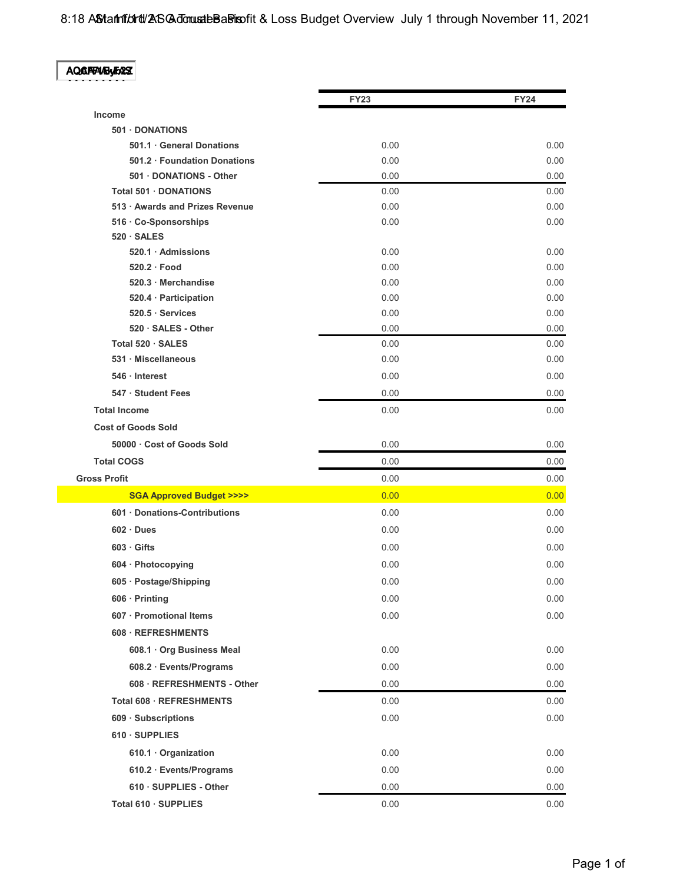8:18 ASM antitut of ASG Admuste Basis of it & Loss Budget Overview July 1 through November 11, 2021

| بديعه<br>M.I<br>н<br>ч. |
|-------------------------|
|                         |

|                                             | <b>FY23</b> | <b>FY24</b> |
|---------------------------------------------|-------------|-------------|
| <b>Income</b>                               |             |             |
| 501 DONATIONS                               |             |             |
| 501.1 General Donations                     | 0.00        | 0.00        |
| 501.2 Foundation Donations                  | 0.00        | 0.00        |
| 501 DONATIONS - Other                       | 0.00        | 0.00        |
| Total 501 · DONATIONS                       | 0.00        | 0.00        |
| 513 · Awards and Prizes Revenue             | 0.00        | 0.00        |
| 516 · Co-Sponsorships<br>$520 \cdot SALES$  | 0.00        | 0.00        |
| 520.1 Admissions                            | 0.00        | 0.00        |
| $520.2 \cdot$ Food                          | 0.00        | 0.00        |
| 520.3 Merchandise                           | 0.00        | 0.00        |
| 520.4 · Participation                       | 0.00        | 0.00        |
| $520.5 \cdot$ Services                      | 0.00        | 0.00        |
| 520 · SALES - Other                         | 0.00        | 0.00        |
| Total 520 · SALES                           | 0.00        | 0.00        |
| 531 · Miscellaneous                         | 0.00        | 0.00        |
| 546 · Interest                              | 0.00        | 0.00        |
| 547 · Student Fees                          | 0.00        | 0.00        |
| <b>Total Income</b>                         | 0.00        | 0.00        |
| <b>Cost of Goods Sold</b>                   |             |             |
| 50000 Cost of Goods Sold                    | 0.00        | 0.00        |
| <b>Total COGS</b>                           | 0.00        | 0.00        |
| <b>Gross Profit</b>                         | 0.00        | 0.00        |
| <b>SGA Approved Budget &gt;&gt;&gt;&gt;</b> | 0.00        | 0.00        |
| 601 Donations-Contributions                 | 0.00        | 0.00        |
| $602 \cdot Dues$                            | 0.00        | 0.00        |
| $603 \cdot$ Gifts                           | 0.00        | 0.00        |
| 604 · Photocopying                          | 0.00        | 0.00        |
| 605 · Postage/Shipping                      | 0.00        | 0.00        |
| 606 · Printing                              | 0.00        | 0.00        |
| 607 · Promotional Items                     | 0.00        | 0.00        |
| 608 · REFRESHMENTS                          |             |             |
| 608.1 · Org Business Meal                   | 0.00        | 0.00        |
| 608.2 · Events/Programs                     | 0.00        | 0.00        |
| 608 · REFRESHMENTS - Other                  | 0.00        | 0.00        |
| Total 608 · REFRESHMENTS                    | 0.00        | 0.00        |
| 609 · Subscriptions                         | 0.00        | 0.00        |
| 610 · SUPPLIES                              |             |             |
| 610.1 Organization                          | 0.00        | 0.00        |
| 610.2 · Events/Programs                     | 0.00        | 0.00        |
| 610 · SUPPLIES - Other                      | 0.00        | 0.00        |
| Total 610 · SUPPLIES                        | 0.00        | 0.00        |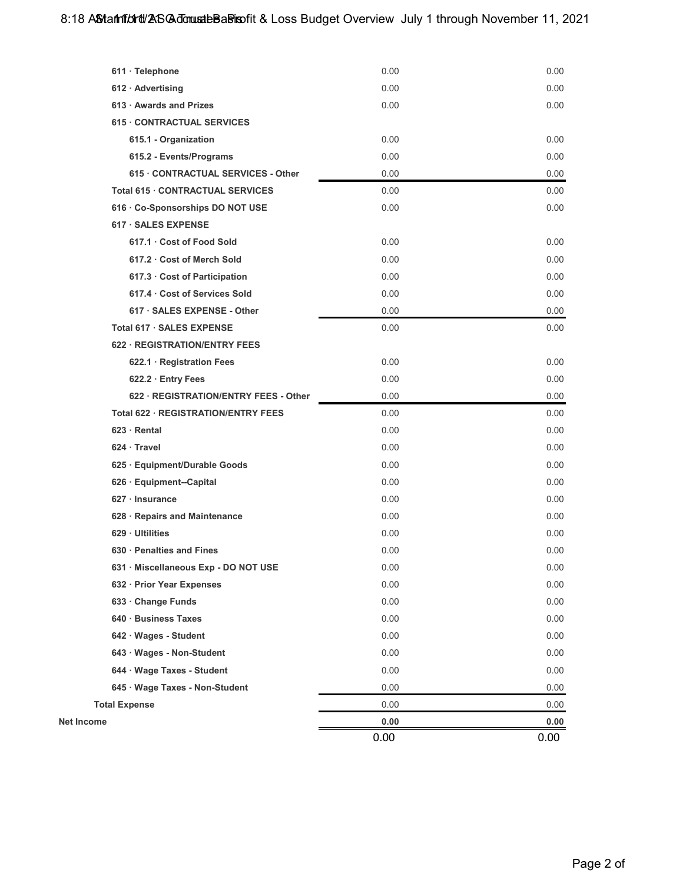|                                       | 0.00 | 0.00 |
|---------------------------------------|------|------|
| <b>Net Income</b>                     | 0.00 | 0.00 |
| <b>Total Expense</b>                  | 0.00 | 0.00 |
| 645 · Wage Taxes - Non-Student        | 0.00 | 0.00 |
| 644 · Wage Taxes - Student            | 0.00 | 0.00 |
| 643 · Wages - Non-Student             | 0.00 | 0.00 |
| 642 · Wages - Student                 | 0.00 | 0.00 |
| 640 · Business Taxes                  | 0.00 | 0.00 |
| 633 · Change Funds                    | 0.00 | 0.00 |
| 632 · Prior Year Expenses             | 0.00 | 0.00 |
| 631 · Miscellaneous Exp - DO NOT USE  | 0.00 | 0.00 |
| 630 · Penalties and Fines             | 0.00 | 0.00 |
| 629 · Ultilities                      | 0.00 | 0.00 |
| 628 · Repairs and Maintenance         | 0.00 | 0.00 |
| $627 \cdot$ Insurance                 | 0.00 | 0.00 |
| 626 · Equipment--Capital              | 0.00 | 0.00 |
| 625 · Equipment/Durable Goods         | 0.00 | 0.00 |
| $624 \cdot$ Travel                    | 0.00 | 0.00 |
| $623 \cdot$ Rental                    | 0.00 | 0.00 |
| Total 622 · REGISTRATION/ENTRY FEES   | 0.00 | 0.00 |
| 622 · REGISTRATION/ENTRY FEES - Other | 0.00 | 0.00 |
| 622.2 · Entry Fees                    | 0.00 | 0.00 |
| 622.1 · Registration Fees             | 0.00 | 0.00 |
| 622 · REGISTRATION/ENTRY FEES         |      |      |
| Total 617 · SALES EXPENSE             | 0.00 | 0.00 |
| 617 · SALES EXPENSE - Other           | 0.00 | 0.00 |
| 617.4 Cost of Services Sold           | 0.00 | 0.00 |
| 617.3 Cost of Participation           | 0.00 | 0.00 |
| 617.2 Cost of Merch Sold              | 0.00 | 0.00 |
| 617.1 · Cost of Food Sold             | 0.00 | 0.00 |
| 617 · SALES EXPENSE                   |      |      |
| 616 · Co-Sponsorships DO NOT USE      | 0.00 | 0.00 |
| Total 615 · CONTRACTUAL SERVICES      | 0.00 | 0.00 |
| 615 · CONTRACTUAL SERVICES - Other    | 0.00 | 0.00 |
| 615.2 - Events/Programs               | 0.00 | 0.00 |
| 615.1 - Organization                  | 0.00 | 0.00 |
| 615 CONTRACTUAL SERVICES              |      |      |
| 613 · Awards and Prizes               | 0.00 | 0.00 |
| $612 \cdot$ Advertising               | 0.00 | 0.00 |
| 611 · Telephone                       | 0.00 | 0.00 |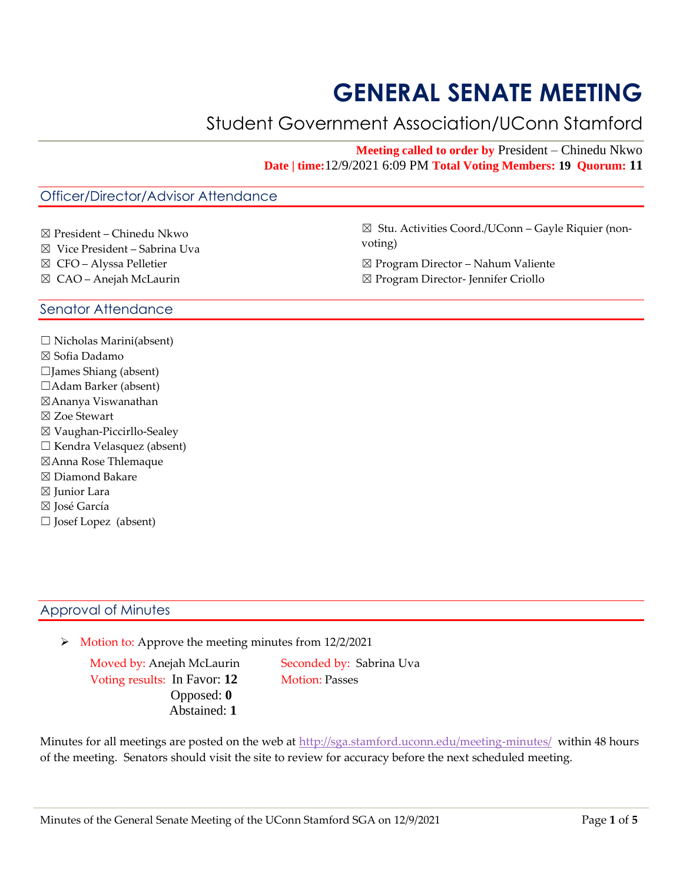# **GENERAL SENATE MEETING**

# Student Government Association/UConn Stamford

**Meeting called to order by** President – Chinedu Nkwo **Date | time:**12/9/2021 6:09 PM **Total Voting Members: 19 Quorum: 11**

# Officer/Director/Advisor Attendance

- ☒ President Chinedu Nkwo
- ☒ Vice President Sabrina Uva
- ☒ CFO Alyssa Pelletier
- ☒ CAO Anejah McLaurin

☒ Stu. Activities Coord./UConn – Gayle Riquier (nonvoting)

- ☒ Program Director Nahum Valiente
- ☒ Program Director- Jennifer Criollo

# Senator Attendance

 $\Box$  Nicholas Marini(absent) ☒ Sofia Dadamo ☐James Shiang (absent) ☐Adam Barker (absent) ☒Ananya Viswanathan ☒ Zoe Stewart ☒ Vaughan-Piccirllo-Sealey ☐ Kendra Velasquez (absent) ☒Anna Rose Thlemaque ☒ Diamond Bakare ⊠ Junior Lara ☒ José García ☐ Josef Lopez (absent)

# Approval of Minutes

➢ Motion to: Approve the meeting minutes from 12/2/2021

Moved by: Anejah McLaurin Seconded by: Sabrina Uva Voting results: In Favor: 12 Motion: Passes Opposed: **0** Abstained: **1** 

Minutes for all meetings are posted on the web at<http://sga.stamford.uconn.edu/meeting-minutes/> within 48 hours of the meeting. Senators should visit the site to review for accuracy before the next scheduled meeting.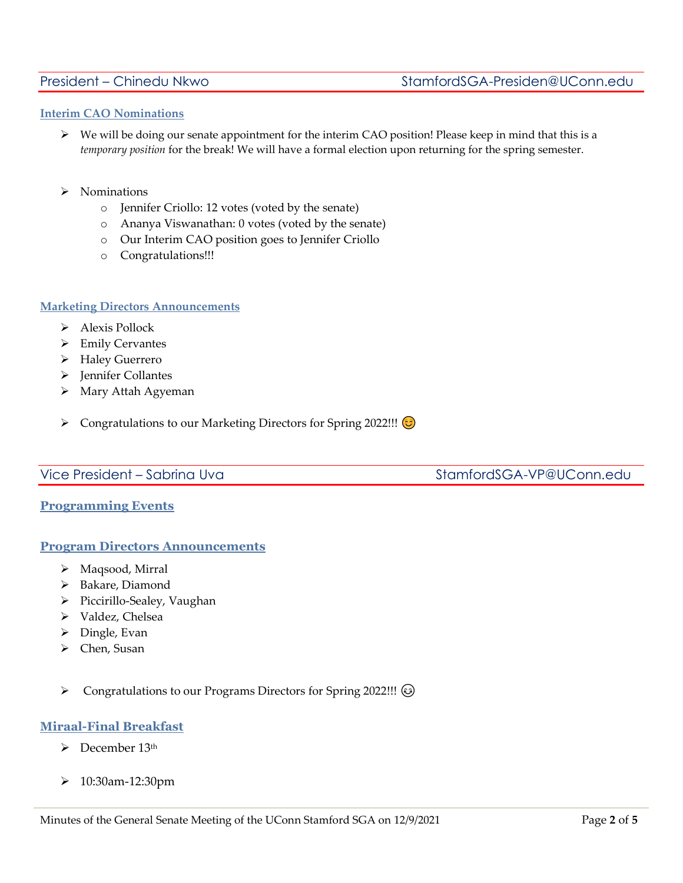# **Interim CAO Nominations**

- $\triangleright$  We will be doing our senate appointment for the interim CAO position! Please keep in mind that this is a *temporary position* for the break! We will have a formal election upon returning for the spring semester.
- ➢ Nominations
	- o Jennifer Criollo: 12 votes (voted by the senate)
	- o Ananya Viswanathan: 0 votes (voted by the senate)
	- o Our Interim CAO position goes to Jennifer Criollo
	- o Congratulations!!!

# **Marketing Directors Announcements**

- ➢ Alexis Pollock
- ➢ Emily Cervantes
- ➢ Haley Guerrero
- ➢ Jennifer Collantes
- ➢ Mary Attah Agyeman
- ➢ Congratulations to our Marketing Directors for Spring 2022!!!

# Vice President – Sabrina Uva StamfordSGA-VP@UConn.edu

# **Programming Events**

# **Program Directors Announcements**

- ➢ Maqsood, Mirral
- ➢ Bakare, Diamond
- ➢ Piccirillo-Sealey, Vaughan
- ➢ Valdez, Chelsea
- ➢ Dingle, Evan
- ➢ Chen, Susan
- ➢ Congratulations to our Programs Directors for Spring 2022!!!

# **Miraal-Final Breakfast**

- $\triangleright$  December 13<sup>th</sup>
- ➢ 10:30am-12:30pm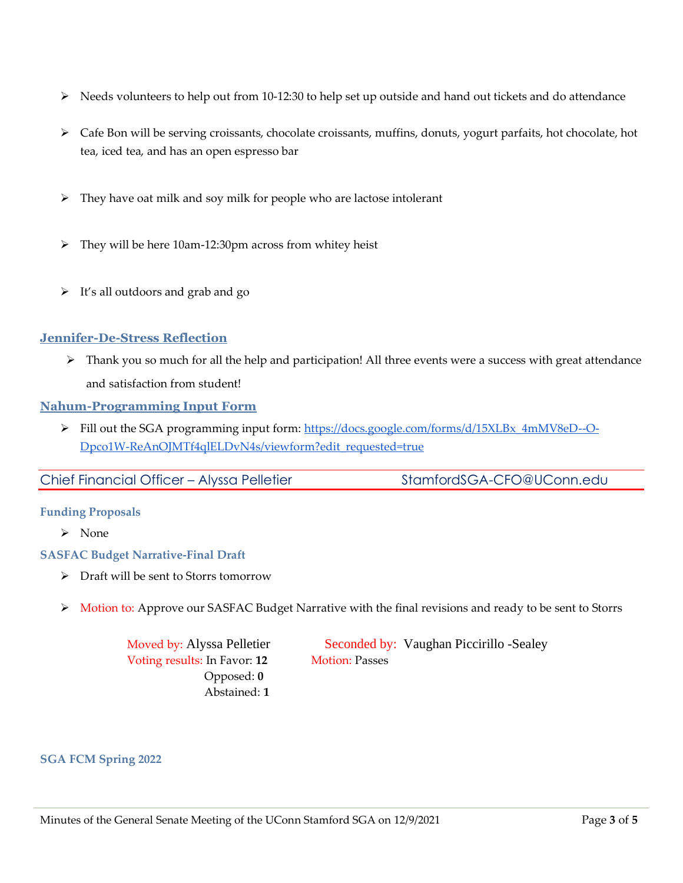- $\triangleright$  Needs volunteers to help out from 10-12:30 to help set up outside and hand out tickets and do attendance
- ➢ Cafe Bon will be serving croissants, chocolate croissants, muffins, donuts, yogurt parfaits, hot chocolate, hot tea, iced tea, and has an open espresso bar
- ➢ They have oat milk and soy milk for people who are lactose intolerant
- ➢ They will be here 10am-12:30pm across from whitey heist
- ➢ It's all outdoors and grab and go

# **Jennifer-De-Stress Reflection**

➢ Thank you so much for all the help and participation! All three events were a success with great attendance and satisfaction from student!

# **Nahum-Programming Input Form**

➢ Fill out the SGA programming input form[: https://docs.google.com/forms/d/15XLBx\\_4mMV8eD--O-](https://docs.google.com/forms/d/15XLBx_4mMV8eD--O-Dpco1W-ReAnOJMTf4qlELDvN4s/viewform?edit_requested=true)[Dpco1W-ReAnOJMTf4qlELDvN4s/viewform?edit\\_requested=true](https://docs.google.com/forms/d/15XLBx_4mMV8eD--O-Dpco1W-ReAnOJMTf4qlELDvN4s/viewform?edit_requested=true)

# **Funding Proposals**

➢ None

# **SASFAC Budget Narrative-Final Draft**

- ➢ Draft will be sent to Storrs tomorrow
- ➢ Motion to: Approve our SASFAC Budget Narrative with the final revisions and ready to be sent to Storrs

Voting results: In Favor: 12 Motion: Passes Opposed: **0** Abstained: **1**

Moved by: Alyssa Pelletier Seconded by: Vaughan Piccirillo -Sealey

**SGA FCM Spring 2022**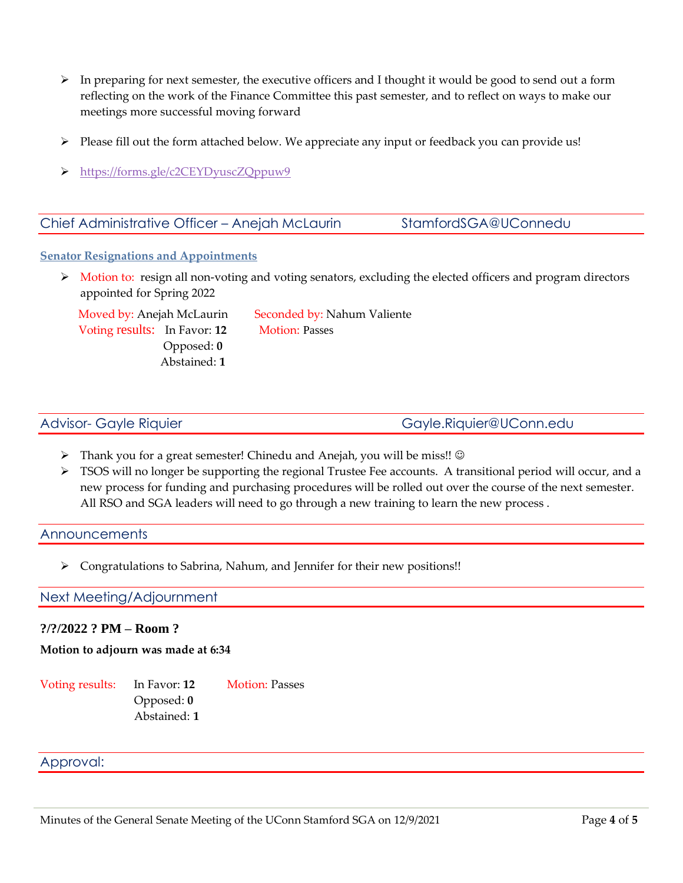- $\triangleright$  In preparing for next semester, the executive officers and I thought it would be good to send out a form reflecting on the work of the Finance Committee this past semester, and to reflect on ways to make our meetings more successful moving forward
- $\triangleright$  Please fill out the form attached below. We appreciate any input or feedback you can provide us!
- ➢ <https://forms.gle/c2CEYDyuscZQppuw9>

# Chief Administrative Officer - Anejah McLaurin StamfordSGA@UConnedu

# **Senator Resignations and Appointments**

➢ Motion to: resign all non-voting and voting senators, excluding the elected officers and program directors appointed for Spring 2022

Voting results: In Favor: 12 Motion: Passes Opposed: **0** Abstained: **1** 

Moved by: Anejah McLaurin Seconded by: Nahum Valiente

Advisor- Gayle Riquier [Gayle.Riquier@UConn.edu](mailto:Gayle.Riquier@UConn.edu)

- ➢ Thank you for a great semester! Chinedu and Anejah, you will be miss!! ☺
- $\triangleright$  TSOS will no longer be supporting the regional Trustee Fee accounts. A transitional period will occur, and a new process for funding and purchasing procedures will be rolled out over the course of the next semester. All RSO and SGA leaders will need to go through a new training to learn the new process .

# Announcements

➢ Congratulations to Sabrina, Nahum, and Jennifer for their new positions!!

# Next Meeting/Adjournment

# **?/?/2022 ? PM – Room ?**

# **Motion to adjourn was made at 6:34**

Voting results: In Favor: 12 Motion: Passes Opposed: **0** Abstained: **1** 

# Approval: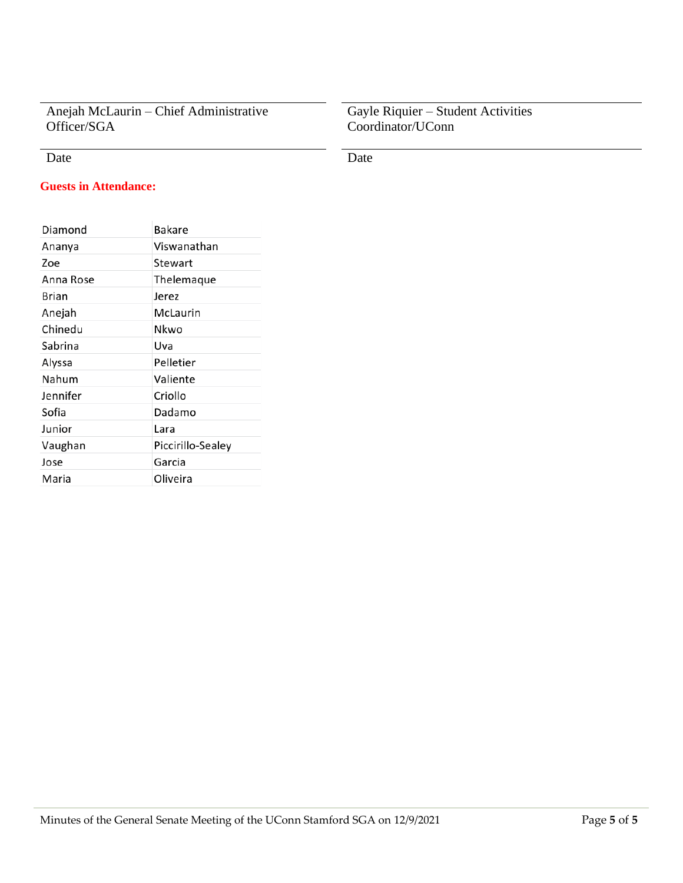Anejah McLaurin – Chief Administrative Officer/SGA

# Date Date Date

# Gayle Riquier – Student Activities Coordinator/UConn

# **Guests in Attendance:**

| Diamond   | Bakare            |
|-----------|-------------------|
| Ananya    | Viswanathan       |
| Zoe       | Stewart           |
| Anna Rose | Thelemaque        |
| Brian     | Jerez             |
| Anejah    | McLaurin          |
| Chinedu   | Nkwo              |
| Sabrina   | Uva               |
| Alyssa    | Pelletier         |
| Nahum     | Valiente          |
| Jennifer  | Criollo           |
| Sofia     | Dadamo            |
| Junior    | Lara              |
| Vaughan   | Piccirillo-Sealey |
| Jose      | Garcia            |
| Maria     | Oliveira          |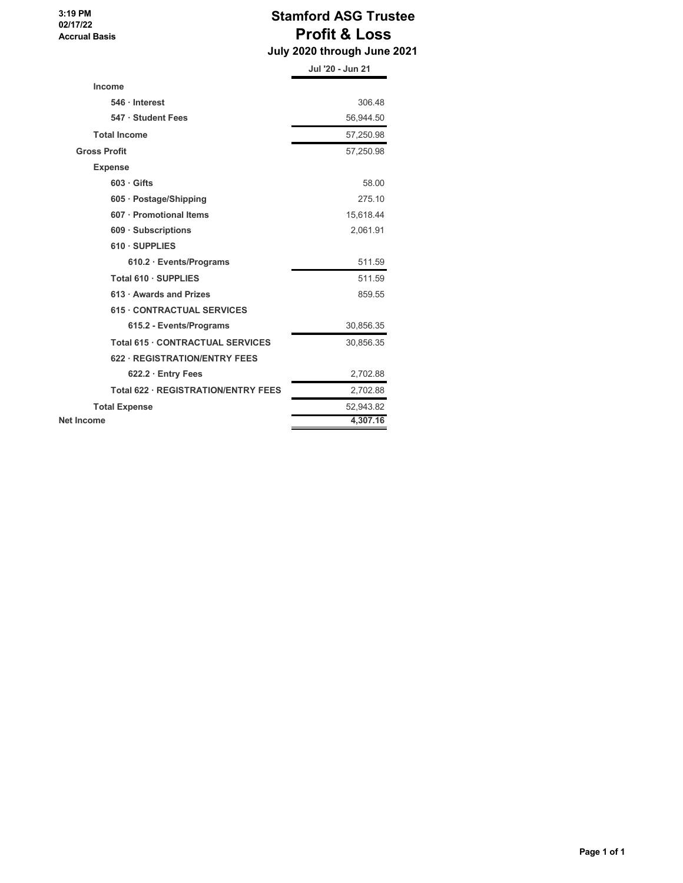**3:19 PM 02/17/22 Accrual Basis**

# **Stamford ASG Trustee Profit & Loss**

 **July 2020 through June 2021**

|                                     | Jul '20 - Jun 21 |
|-------------------------------------|------------------|
| Income                              |                  |
| 546 Interest                        | 306.48           |
| 547 · Student Fees                  | 56,944.50        |
| <b>Total Income</b>                 | 57,250.98        |
| <b>Gross Profit</b>                 | 57,250.98        |
| <b>Expense</b>                      |                  |
| $603 \cdot$ Gifts                   | 58.00            |
| 605 · Postage/Shipping              | 275.10           |
| 607 · Promotional Items             | 15,618.44        |
| 609 · Subscriptions                 | 2,061.91         |
| 610 · SUPPLIES                      |                  |
| $610.2 \cdot Events/Programs$       | 511.59           |
| Total 610 · SUPPLIES                | 511.59           |
| 613 · Awards and Prizes             | 859.55           |
| <b>615 CONTRACTUAL SERVICES</b>     |                  |
| 615.2 - Events/Programs             | 30,856.35        |
| Total 615 . CONTRACTUAL SERVICES    | 30,856.35        |
| 622 · REGISTRATION/ENTRY FEES       |                  |
| $622.2 \cdot$ Entry Fees            | 2,702.88         |
| Total 622 · REGISTRATION/ENTRY FEES | 2,702.88         |
| <b>Total Expense</b>                | 52,943.82        |
| <b>Net Income</b>                   | 4,307.16         |